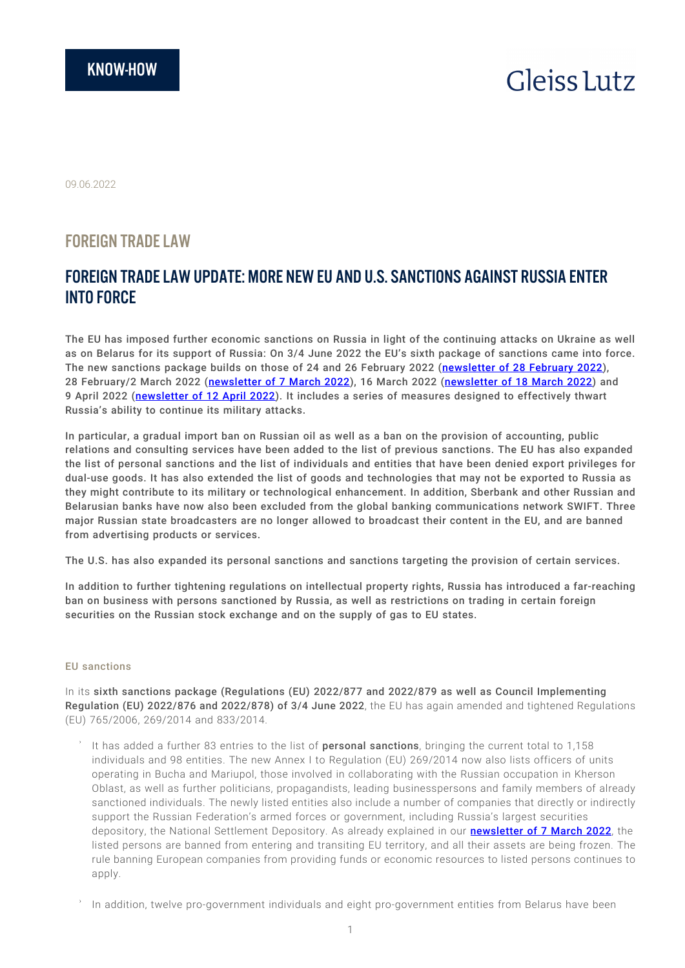# **Gleiss Lutz**

09.06.2022

# FOREIGN TRADE LAW

# FOREIGN TRADE LAW UPDATE: MORE NEW EU AND U.S. SANCTIONS AGAINST RUSSIA ENTER INTO FORCE

The EU has imposed further economic sanctions on Russia in light of the continuing attacks on Ukraine as well as on Belarus for its support of Russia: On 3/4 June 2022 the EU's sixth package of sanctions came into force. The new sanctions package builds on those of 24 and 26 February 2022 ([newsletter of 28 February 2022\)](https://www.gleisslutz.com/en/new_EU_and_US_sanctions_against_Russia.html), 28 February/2 March 2022 ([newsletter of 7 March 2022](https://www.gleisslutz.com/en/EU_and_US_sanctions_against_Russia_tightened_further.html)), 16 March 2022 ([newsletter of 18 March 2022](https://www.gleisslutz.com/en/sanctions_EU_and_USA_against_Russia_enter_into_force.html)) and 9 April 2022 ([newsletter of 12 April 2022](https://www.gleisslutz.com/en/new_EU_and_US_sanctions_against_Russia.html-0)). It includes a series of measures designed to effectively thwart Russia's ability to continue its military attacks.

In particular, a gradual import ban on Russian oil as well as a ban on the provision of accounting, public relations and consulting services have been added to the list of previous sanctions. The EU has also expanded the list of personal sanctions and the list of individuals and entities that have been denied export privileges for dual-use goods. It has also extended the list of goods and technologies that may not be exported to Russia as they might contribute to its military or technological enhancement. In addition, Sberbank and other Russian and Belarusian banks have now also been excluded from the global banking communications network SWIFT. Three major Russian state broadcasters are no longer allowed to broadcast their content in the EU, and are banned from advertising products or services.

The U.S. has also expanded its personal sanctions and sanctions targeting the provision of certain services.

In addition to further tightening regulations on intellectual property rights, Russia has introduced a far-reaching ban on business with persons sanctioned by Russia, as well as restrictions on trading in certain foreign securities on the Russian stock exchange and on the supply of gas to EU states.

# EU sanctions

In its sixth sanctions package (Regulations (EU) 2022/877 and 2022/879 as well as Council Implementing Regulation (EU) 2022/876 and 2022/878) of 3/4 June 2022, the EU has again amended and tightened Regulations (EU) 765/2006, 269/2014 and 833/2014.

- It has added a further 83 entries to the list of personal sanctions, bringing the current total to 1,158 individuals and 98 entities. The new Annex I to Regulation (EU) 269/2014 now also lists officers of units operating in Bucha and Mariupol, those involved in collaborating with the Russian occupation in Kherson Oblast, as well as further politicians, propagandists, leading businesspersons and family members of already sanctioned individuals. The newly listed entities also include a number of companies that directly or indirectly support the Russian Federation's armed forces or government, including Russia's largest securities depository, the National Settlement Depository. As already explained in our **[newsletter of 7 March 2022](https://www.gleisslutz.com/en/EU_and_US_sanctions_against_Russia_tightened_further.html)**, the listed persons are banned from entering and transiting EU territory, and all their assets are being frozen. The rule banning European companies from providing funds or economic resources to listed persons continues to apply.
- In addition, twelve pro-government individuals and eight pro-government entities from Belarus have been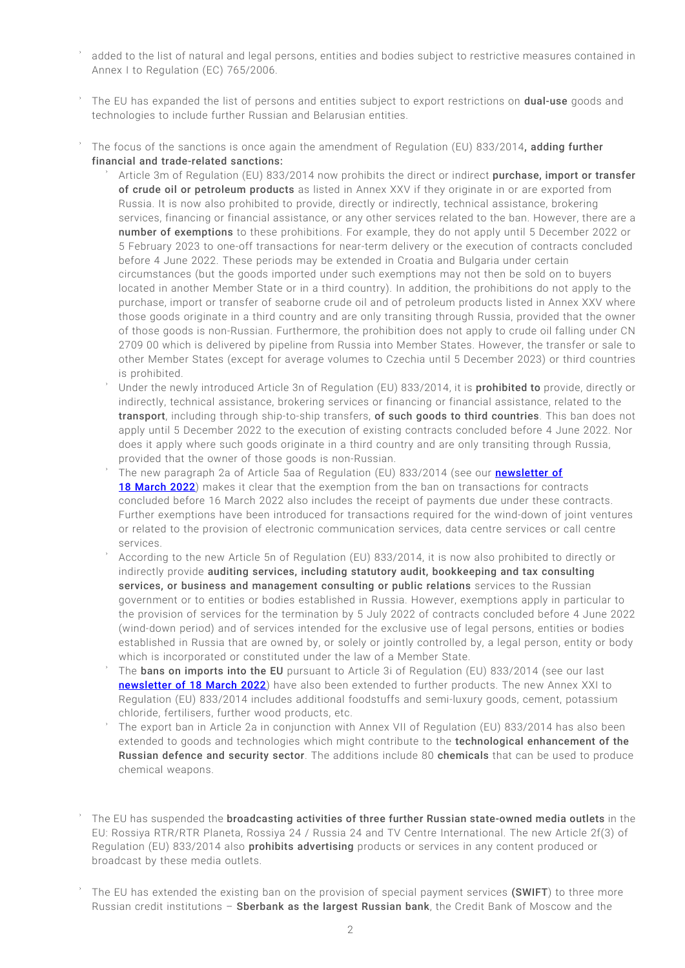- added to the list of natural and legal persons, entities and bodies subject to restrictive measures contained in Annex I to Regulation (EC) 765/2006.
- The EU has expanded the list of persons and entities subject to export restrictions on **dual-use** goods and technologies to include further Russian and Belarusian entities.
- The focus of the sanctions is once again the amendment of Regulation (EU) 833/2014, adding further financial and trade-related sanctions:
	- Article 3m of Regulation (EU) 833/2014 now prohibits the direct or indirect purchase, import or transfer of crude oil or petroleum products as listed in Annex XXV if they originate in or are exported from Russia. It is now also prohibited to provide, directly or indirectly, technical assistance, brokering services, financing or financial assistance, or any other services related to the ban. However, there are a number of exemptions to these prohibitions. For example, they do not apply until 5 December 2022 or 5 February 2023 to one-off transactions for near-term delivery or the execution of contracts concluded before 4 June 2022. These periods may be extended in Croatia and Bulgaria under certain circumstances (but the goods imported under such exemptions may not then be sold on to buyers located in another Member State or in a third country). In addition, the prohibitions do not apply to the purchase, import or transfer of seaborne crude oil and of petroleum products listed in Annex XXV where those goods originate in a third country and are only transiting through Russia, provided that the owner of those goods is non-Russian. Furthermore, the prohibition does not apply to crude oil falling under CN 2709 00 which is delivered by pipeline from Russia into Member States. However, the transfer or sale to other Member States (except for average volumes to Czechia until 5 December 2023) or third countries is prohibited.
	- Under the newly introduced Article 3n of Regulation (EU) 833/2014, it is **prohibited to** provide, directly or indirectly, technical assistance, brokering services or financing or financial assistance, related to the transport, including through ship-to-ship transfers, of such goods to third countries. This ban does not apply until 5 December 2022 to the execution of existing contracts concluded before 4 June 2022. Nor does it apply where such goods originate in a third country and are only transiting through Russia, provided that the owner of those goods is non-Russian.
	- The new paragraph 2a of Article 5aa of Regulation (EU) 833/2014 (see our **[newsletter of](https://www.gleisslutz.com/en/sanctions_EU_and_USA_against_Russia_enter_into_force.html)** [18 March 2022](https://www.gleisslutz.com/en/sanctions_EU_and_USA_against_Russia_enter_into_force.html)) makes it clear that the exemption from the ban on transactions for contracts concluded before 16 March 2022 also includes the receipt of payments due under these contracts. Further exemptions have been introduced for transactions required for the wind-down of joint ventures or related to the provision of electronic communication services, data centre services or call centre services.
	- According to the new Article 5n of Regulation (EU) 833/2014, it is now also prohibited to directly or indirectly provide auditing services, including statutory audit, bookkeeping and tax consulting services, or business and management consulting or public relations services to the Russian government or to entities or bodies established in Russia. However, exemptions apply in particular to the provision of services for the termination by 5 July 2022 of contracts concluded before 4 June 2022 (wind-down period) and of services intended for the exclusive use of legal persons, entities or bodies established in Russia that are owned by, or solely or jointly controlled by, a legal person, entity or body which is incorporated or constituted under the law of a Member State.
	- The bans on imports into the EU pursuant to Article 3i of Regulation (EU) 833/2014 (see our last [newsletter of 18 March 2022](https://www.gleisslutz.com/en/sanctions_EU_and_USA_against_Russia_enter_into_force.html)) have also been extended to further products. The new Annex XXI to Regulation (EU) 833/2014 includes additional foodstuffs and semi-luxury goods, cement, potassium chloride, fertilisers, further wood products, etc.
	- The export ban in Article 2a in conjunction with Annex VII of Regulation (EU) 833/2014 has also been extended to goods and technologies which might contribute to the technological enhancement of the Russian defence and security sector. The additions include 80 chemicals that can be used to produce chemical weapons.
- The EU has suspended the broadcasting activities of three further Russian state-owned media outlets in the EU: Rossiya RTR/RTR Planeta, Rossiya 24 / Russia 24 and TV Centre International. The new Article 2f(3) of Regulation (EU) 833/2014 also **prohibits advertising** products or services in any content produced or broadcast by these media outlets.
- The EU has extended the existing ban on the provision of special payment services (SWIFT) to three more Russian credit institutions - Sberbank as the largest Russian bank, the Credit Bank of Moscow and the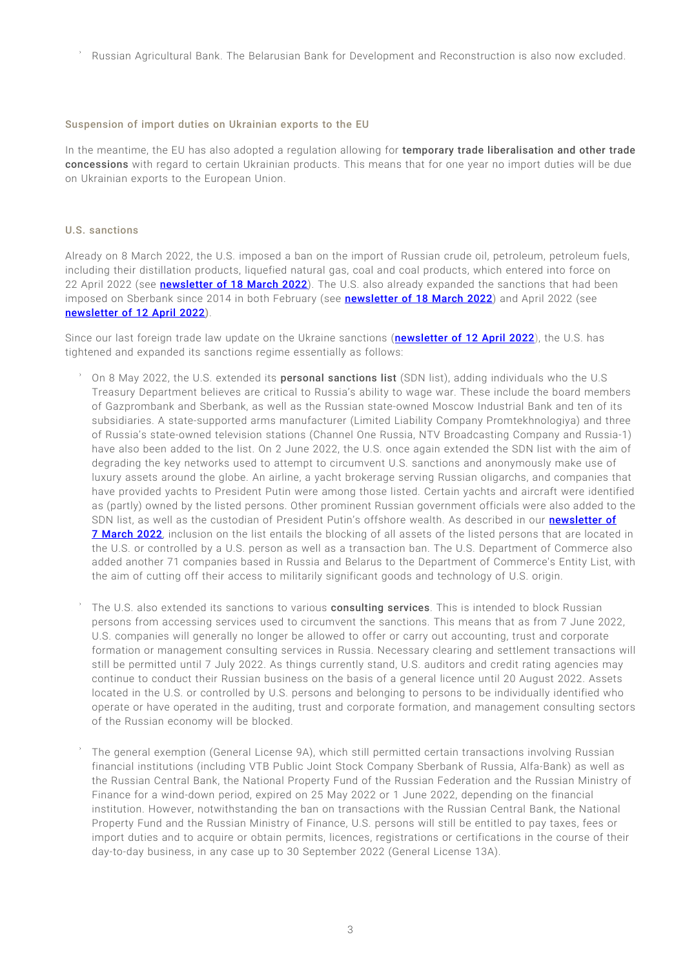Russian Agricultural Bank. The Belarusian Bank for Development and Reconstruction is also now excluded.

#### Suspension of import duties on Ukrainian exports to the EU

In the meantime, the EU has also adopted a regulation allowing for temporary trade liberalisation and other trade concessions with regard to certain Ukrainian products. This means that for one year no import duties will be due on Ukrainian exports to the European Union.

#### U.S. sanctions

Already on 8 March 2022, the U.S. imposed a ban on the import of Russian crude oil, petroleum, petroleum fuels, including their distillation products, liquefied natural gas, coal and coal products, which entered into force on 22 April 2022 (see **[newsletter of 18 March 2022](https://www.gleisslutz.com/en/sanctions_EU_and_USA_against_Russia_enter_into_force.html)**). The U.S. also already expanded the sanctions that had been imposed on Sberbank since 2014 in both February (see [newsletter of 18 March 2022](https://www.gleisslutz.com/en/sanctions_EU_and_USA_against_Russia_enter_into_force.html)) and April 2022 (see [newsletter of 12 April 2022](https://www.gleisslutz.com/en/new_EU_and_US_sanctions_against_Russia.html-0)).

Since our last foreign trade law update on the Ukraine sanctions (**[newsletter of 12 April 2022](https://www.gleisslutz.com/en/new_EU_and_US_sanctions_against_Russia.html-0)**), the U.S. has tightened and expanded its sanctions regime essentially as follows:

- On 8 May 2022, the U.S. extended its **personal sanctions list** (SDN list), adding individuals who the U.S Treasury Department believes are critical to Russia's ability to wage war. These include the board members of Gazprombank and Sberbank, as well as the Russian state-owned Moscow Industrial Bank and ten of its subsidiaries. A state-supported arms manufacturer (Limited Liability Company Promtekhnologiya) and three of Russia's state-owned television stations (Channel One Russia, NTV Broadcasting Company and Russia-1) have also been added to the list. On 2 June 2022, the U.S. once again extended the SDN list with the aim of degrading the key networks used to attempt to circumvent U.S. sanctions and anonymously make use of luxury assets around the globe. An airline, a yacht brokerage serving Russian oligarchs, and companies that have provided yachts to President Putin were among those listed. Certain yachts and aircraft were identified as (partly) owned by the listed persons. Other prominent Russian government officials were also added to the SDN list, as well as the custodian of President Putin's offshore wealth. As described in our **[newsletter of](https://www.gleisslutz.com/en/EU_and_US_sanctions_against_Russia_tightened_further.html)** [7 March 2022](https://www.gleisslutz.com/en/EU_and_US_sanctions_against_Russia_tightened_further.html), inclusion on the list entails the blocking of all assets of the listed persons that are located in the U.S. or controlled by a U.S. person as well as a transaction ban. The U.S. Department of Commerce also added another 71 companies based in Russia and Belarus to the Department of Commerce's Entity List, with the aim of cutting off their access to militarily significant goods and technology of U.S. origin.
- The U.S. also extended its sanctions to various consulting services. This is intended to block Russian persons from accessing services used to circumvent the sanctions. This means that as from 7 June 2022, U.S. companies will generally no longer be allowed to offer or carry out accounting, trust and corporate formation or management consulting services in Russia. Necessary clearing and settlement transactions will still be permitted until 7 July 2022. As things currently stand, U.S. auditors and credit rating agencies may continue to conduct their Russian business on the basis of a general licence until 20 August 2022. Assets located in the U.S. or controlled by U.S. persons and belonging to persons to be individually identified who operate or have operated in the auditing, trust and corporate formation, and management consulting sectors of the Russian economy will be blocked.
- The general exemption (General License 9A), which still permitted certain transactions involving Russian financial institutions (including VTB Public Joint Stock Company Sberbank of Russia, Alfa-Bank) as well as the Russian Central Bank, the National Property Fund of the Russian Federation and the Russian Ministry of Finance for a wind-down period, expired on 25 May 2022 or 1 June 2022, depending on the financial institution. However, notwithstanding the ban on transactions with the Russian Central Bank, the National Property Fund and the Russian Ministry of Finance, U.S. persons will still be entitled to pay taxes, fees or import duties and to acquire or obtain permits, licences, registrations or certifications in the course of their day-to-day business, in any case up to 30 September 2022 (General License 13A).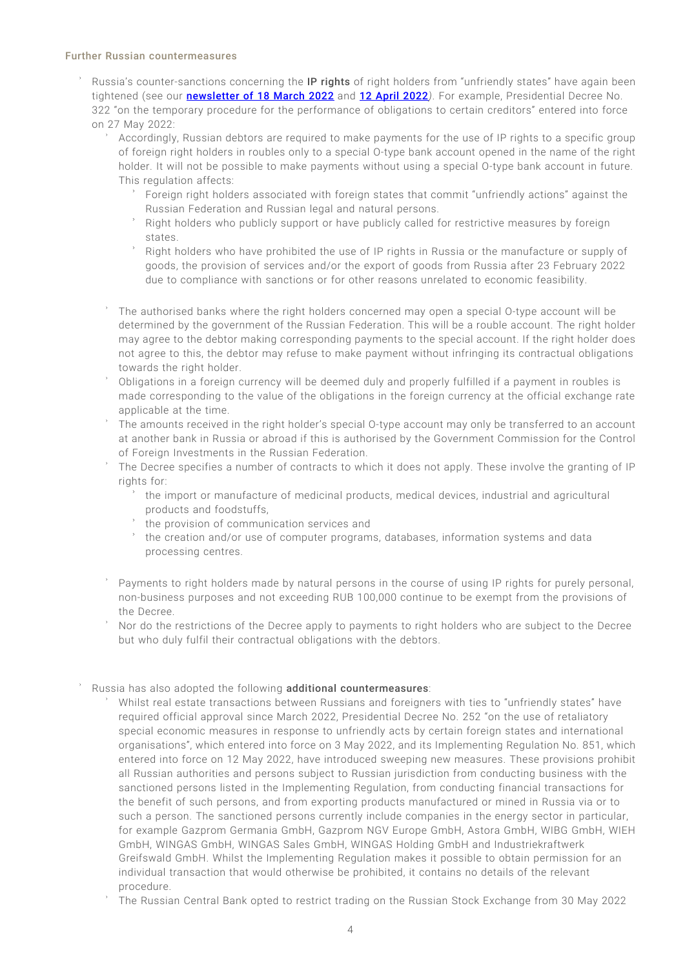#### Further Russian countermeasures

- Russia's counter-sanctions concerning the IP rights of right holders from "unfriendly states" have again been tightened (see our [newsletter of 18 March 2022](https://www.gleisslutz.com/en/sanctions_EU_and_USA_against_Russia_enter_into_force.html) and [12 April 2022](https://www.gleisslutz.com/en/new_EU_and_US_sanctions_against_Russia.html-0)*)*. For example, Presidential Decree No. 322 "on the temporary procedure for the performance of obligations to certain creditors" entered into force on 27 May 2022:
	- Accordingly, Russian debtors are required to make payments for the use of IP rights to a specific group of foreign right holders in roubles only to a special O-type bank account opened in the name of the right holder. It will not be possible to make payments without using a special O-type bank account in future. This regulation affects:
		- Foreign right holders associated with foreign states that commit "unfriendly actions" against the Russian Federation and Russian legal and natural persons.
		- Right holders who publicly support or have publicly called for restrictive measures by foreign states.
		- Right holders who have prohibited the use of IP rights in Russia or the manufacture or supply of goods, the provision of services and/or the export of goods from Russia after 23 February 2022 due to compliance with sanctions or for other reasons unrelated to economic feasibility.
	- The authorised banks where the right holders concerned may open a special O-type account will be determined by the government of the Russian Federation. This will be a rouble account. The right holder may agree to the debtor making corresponding payments to the special account. If the right holder does not agree to this, the debtor may refuse to make payment without infringing its contractual obligations towards the right holder.
	- Obligations in a foreign currency will be deemed duly and properly fulfilled if a payment in roubles is made corresponding to the value of the obligations in the foreign currency at the official exchange rate applicable at the time.
	- The amounts received in the right holder's special O-type account may only be transferred to an account at another bank in Russia or abroad if this is authorised by the Government Commission for the Control of Foreign Investments in the Russian Federation.
	- The Decree specifies a number of contracts to which it does not apply. These involve the granting of IP rights for:
		- the import or manufacture of medicinal products, medical devices, industrial and agricultural products and foodstuffs,
		- the provision of communication services and
		- the creation and/or use of computer programs, databases, information systems and data processing centres.
	- Payments to right holders made by natural persons in the course of using IP rights for purely personal, non-business purposes and not exceeding RUB 100,000 continue to be exempt from the provisions of the Decree.
	- Nor do the restrictions of the Decree apply to payments to right holders who are subject to the Decree but who duly fulfil their contractual obligations with the debtors.

# Russia has also adopted the following additional countermeasures:

- Whilst real estate transactions between Russians and foreigners with ties to "unfriendly states" have required official approval since March 2022, Presidential Decree No. 252 "on the use of retaliatory special economic measures in response to unfriendly acts by certain foreign states and international organisations", which entered into force on 3 May 2022, and its Implementing Regulation No. 851, which entered into force on 12 May 2022, have introduced sweeping new measures. These provisions prohibit all Russian authorities and persons subject to Russian jurisdiction from conducting business with the sanctioned persons listed in the Implementing Regulation, from conducting financial transactions for the benefit of such persons, and from exporting products manufactured or mined in Russia via or to such a person. The sanctioned persons currently include companies in the energy sector in particular, for example Gazprom Germania GmbH, Gazprom NGV Europe GmbH, Astora GmbH, WIBG GmbH, WIEH GmbH, WINGAS GmbH, WINGAS Sales GmbH, WINGAS Holding GmbH and Industriekraftwerk Greifswald GmbH. Whilst the Implementing Regulation makes it possible to obtain permission for an individual transaction that would otherwise be prohibited, it contains no details of the relevant procedure.
- The Russian Central Bank opted to restrict trading on the Russian Stock Exchange from 30 May 2022